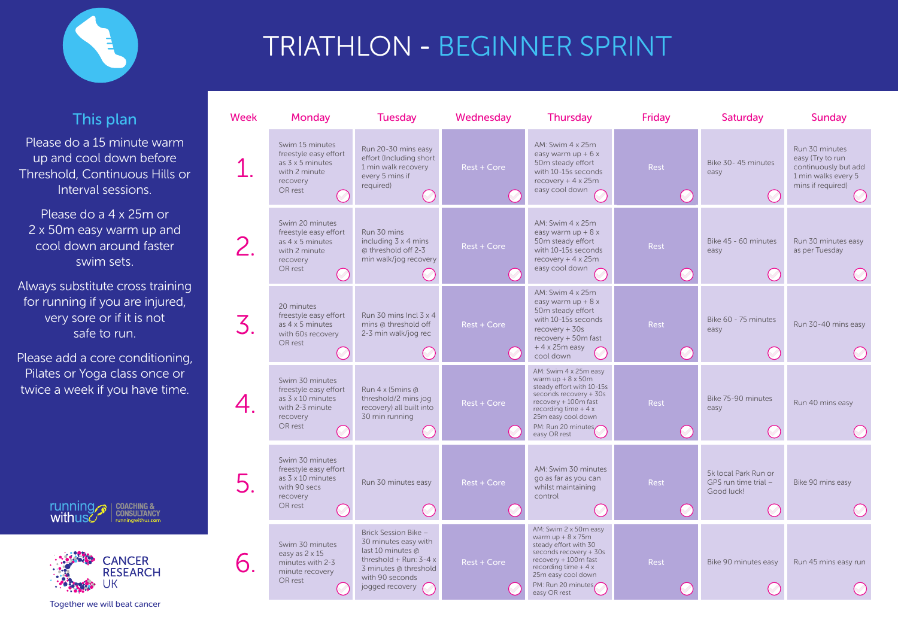| <b>Week</b> | <b>Monday</b>                                                                                               | <b>Tuesday</b>                                                                                                                                              | Wednesday          | <b>Thursday</b>                                                                                                                                                                                                      | <b>Friday</b> | Saturday                                                   | Sunday                                                                                       |
|-------------|-------------------------------------------------------------------------------------------------------------|-------------------------------------------------------------------------------------------------------------------------------------------------------------|--------------------|----------------------------------------------------------------------------------------------------------------------------------------------------------------------------------------------------------------------|---------------|------------------------------------------------------------|----------------------------------------------------------------------------------------------|
|             | Swim 15 minutes<br>freestyle easy effort<br>as $3 \times 5$ minutes<br>with 2 minute<br>recovery<br>OR rest | Run 20-30 mins easy<br>effort (Including short<br>1 min walk recovery<br>every 5 mins if<br>required)                                                       | Rest + Core        | AM: Swim 4 x 25m<br>easy warm $up + 6x$<br>50m steady effort<br>with 10-15s seconds<br>recovery $+4 \times 25m$<br>easy cool down                                                                                    | <b>Rest</b>   | Bike 30-45 minutes<br>easy                                 | Run 30 minutes<br>easy (Try to run<br>continuously bu<br>1 min walks eve<br>mins if required |
|             | Swim 20 minutes<br>freestyle easy effort<br>as 4 x 5 minutes<br>with 2 minute<br>recovery<br>OR rest        | Run 30 mins<br>including 3 x 4 mins<br>@ threshold off 2-3<br>min walk/jog recovery                                                                         | Rest + Core        | AM: Swim 4 x 25m<br>easy warm $up + 8x$<br>50m steady effort<br>with 10-15s seconds<br>recovery $+4x25m$<br>easy cool down                                                                                           | <b>Rest</b>   | Bike 45 - 60 minutes<br>easy                               | Run 30 minutes<br>as per Tuesday                                                             |
|             | 20 minutes<br>freestyle easy effort<br>as 4 x 5 minutes<br>with 60s recovery<br>OR rest                     | Run 30 mins Incl 3 x 4<br>mins @ threshold off<br>2-3 min walk/jog rec                                                                                      | <b>Rest + Core</b> | AM: Swim 4 x 25m<br>easy warm $up + 8x$<br>50m steady effort<br>with 10-15s seconds<br>$recovery + 30s$<br>recovery + 50m fast<br>$+4x25m$ easy<br>cool down                                                         | <b>Rest</b>   | Bike 60 - 75 minutes<br>easy                               | Run 30-40 mins                                                                               |
|             | Swim 30 minutes<br>freestyle easy effort<br>as 3 x 10 minutes<br>with 2-3 minute<br>recovery<br>OR rest     | Run 4 x (5mins @<br>threshold/2 mins jog<br>recovery) all built into<br>30 min running                                                                      | Rest + Core        | AM: Swim 4 x 25m easy<br>warm $up + 8 \times 50m$<br>steady effort with 10-15s<br>seconds recovery + 30s<br>recovery + 100m fast<br>recording time $+4x$<br>25m easy cool down<br>PM: Run 20 minutes<br>easy OR rest | Rest          | Bike 75-90 minutes<br>easy                                 | Run 40 mins ea                                                                               |
|             | Swim 30 minutes<br>freestyle easy effort<br>as 3 x 10 minutes<br>with 90 secs<br>recovery<br>OR rest        | Run 30 minutes easy                                                                                                                                         | <b>Rest + Core</b> | AM: Swim 30 minutes<br>go as far as you can<br>whilst maintaining<br>control                                                                                                                                         | <b>Rest</b>   | 5k local Park Run or<br>GPS run time trial -<br>Good luck! | Bike 90 mins eas                                                                             |
|             | Swim 30 minutes<br>easy as 2 x 15<br>minutes with 2-3<br>minute recovery<br>OR rest                         | Brick Session Bike -<br>30 minutes easy with<br>last 10 minutes @<br>threshold + Run: $3-4x$<br>3 minutes @ threshold<br>with 90 seconds<br>jogged recovery | Rest + Core        | AM: Swim 2 x 50m easy<br>warm $up + 8 \times 75m$<br>steady effort with 30<br>seconds recovery + 30s<br>recovery + 100m fast<br>recording time $+4x$<br>25m easy cool down<br>PM: Run 20 minutes<br>easy OR rest     | <b>Rest</b>   | Bike 90 minutes easy                                       | Run 45 mins eas                                                                              |





# TRIATHLON - BEGINNER SPRINT

### This plan

Please do a 15 minute warm up and cool down before Threshold, Continuous Hills or Interval sessions.

Please do a 4 x 25m or 2 x 50m easy warm up and cool down around faster swim sets.

Always substitute cross training for running if you are injured, very sore or if it is not safe to run.

Please add a core conditioning, Pilates or Yoga class once or twice a week if you have time.